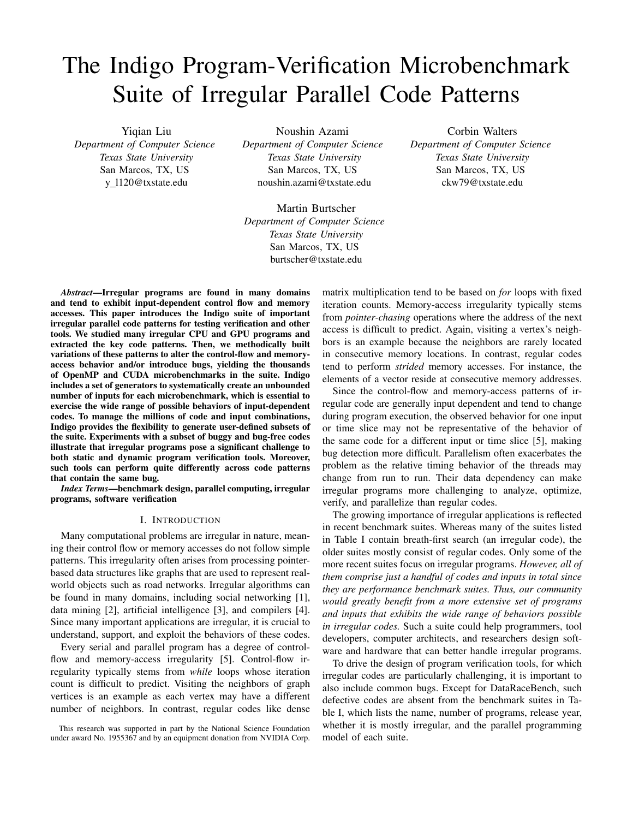# The Indigo Program-Verification Microbenchmark Suite of Irregular Parallel Code Patterns

Yiqian Liu *Department of Computer Science Texas State University* San Marcos, TX, US y l120@txstate.edu

Noushin Azami *Department of Computer Science Texas State University* San Marcos, TX, US noushin.azami@txstate.edu

Martin Burtscher *Department of Computer Science Texas State University* San Marcos, TX, US burtscher@txstate.edu

*Abstract*—Irregular programs are found in many domains and tend to exhibit input-dependent control flow and memory accesses. This paper introduces the Indigo suite of important irregular parallel code patterns for testing verification and other tools. We studied many irregular CPU and GPU programs and extracted the key code patterns. Then, we methodically built variations of these patterns to alter the control-flow and memoryaccess behavior and/or introduce bugs, yielding the thousands of OpenMP and CUDA microbenchmarks in the suite. Indigo includes a set of generators to systematically create an unbounded number of inputs for each microbenchmark, which is essential to exercise the wide range of possible behaviors of input-dependent codes. To manage the millions of code and input combinations, Indigo provides the flexibility to generate user-defined subsets of the suite. Experiments with a subset of buggy and bug-free codes illustrate that irregular programs pose a significant challenge to both static and dynamic program verification tools. Moreover, such tools can perform quite differently across code patterns that contain the same bug.

*Index Terms*—benchmark design, parallel computing, irregular programs, software verification

#### I. INTRODUCTION

Many computational problems are irregular in nature, meaning their control flow or memory accesses do not follow simple patterns. This irregularity often arises from processing pointerbased data structures like graphs that are used to represent realworld objects such as road networks. Irregular algorithms can be found in many domains, including social networking [1], data mining [2], artificial intelligence [3], and compilers [4]. Since many important applications are irregular, it is crucial to understand, support, and exploit the behaviors of these codes.

Every serial and parallel program has a degree of controlflow and memory-access irregularity [5]. Control-flow irregularity typically stems from *while* loops whose iteration count is difficult to predict. Visiting the neighbors of graph vertices is an example as each vertex may have a different number of neighbors. In contrast, regular codes like dense

This research was supported in part by the National Science Foundation under award No. 1955367 and by an equipment donation from NVIDIA Corp. matrix multiplication tend to be based on *for* loops with fixed iteration counts. Memory-access irregularity typically stems from *pointer-chasing* operations where the address of the next access is difficult to predict. Again, visiting a vertex's neighbors is an example because the neighbors are rarely located in consecutive memory locations. In contrast, regular codes tend to perform *strided* memory accesses. For instance, the elements of a vector reside at consecutive memory addresses.

Since the control-flow and memory-access patterns of irregular code are generally input dependent and tend to change during program execution, the observed behavior for one input or time slice may not be representative of the behavior of the same code for a different input or time slice [5], making bug detection more difficult. Parallelism often exacerbates the problem as the relative timing behavior of the threads may change from run to run. Their data dependency can make irregular programs more challenging to analyze, optimize, verify, and parallelize than regular codes.

The growing importance of irregular applications is reflected in recent benchmark suites. Whereas many of the suites listed in Table I contain breath-first search (an irregular code), the older suites mostly consist of regular codes. Only some of the more recent suites focus on irregular programs. *However, all of them comprise just a handful of codes and inputs in total since they are performance benchmark suites. Thus, our community would greatly benefit from a more extensive set of programs and inputs that exhibits the wide range of behaviors possible in irregular codes.* Such a suite could help programmers, tool developers, computer architects, and researchers design software and hardware that can better handle irregular programs.

To drive the design of program verification tools, for which irregular codes are particularly challenging, it is important to also include common bugs. Except for DataRaceBench, such defective codes are absent from the benchmark suites in Table I, which lists the name, number of programs, release year, whether it is mostly irregular, and the parallel programming model of each suite.

Corbin Walters *Department of Computer Science Texas State University* San Marcos, TX, US ckw79@txstate.edu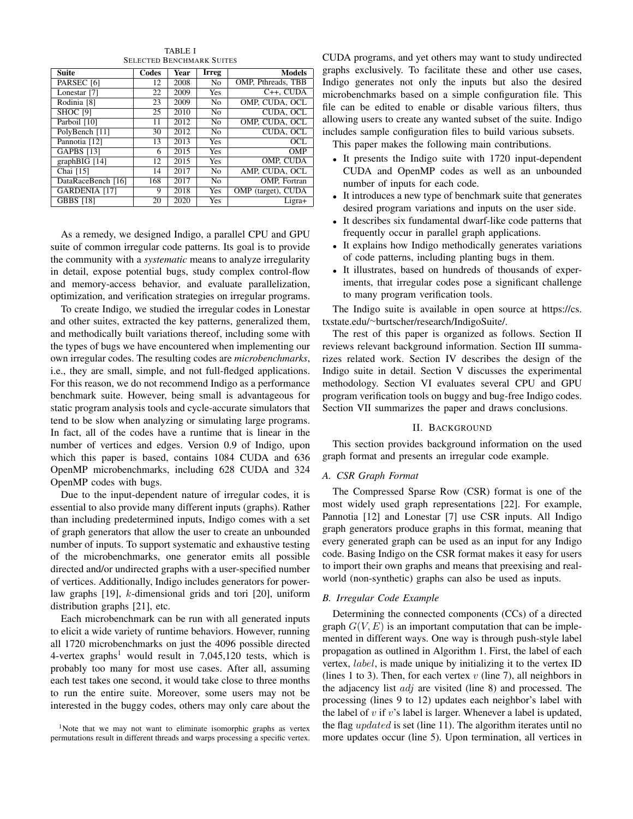| <b>Suite</b>           | Codes | Year | <b>Irreg</b>   | <b>Models</b>      |
|------------------------|-------|------|----------------|--------------------|
| PARSEC <sub>[6]</sub>  | 12    | 2008 | No.            | OMP, Pthreads, TBB |
| Lonestar [7]           | 22    | 2009 | <b>Yes</b>     | $C++$ . CUDA       |
| Rodinia <sup>[8]</sup> | 23    | 2009 | N <sub>0</sub> | OMP. CUDA, OCL     |
| <b>SHOC [9]</b>        | 25    | 2010 | N <sub>0</sub> | CUDA, OCL          |
| Parboil [10]           | 11    | 2012 | N <sub>0</sub> | OMP. CUDA. OCL     |
| PolyBench [11]         | 30    | 2012 | N <sub>0</sub> | CUDA. OCL          |
| Pannotia [12]          | 13    | 2013 | Yes            | OCL                |
| <b>GAPBS</b> [13]      | 6     | 2015 | <b>Yes</b>     | <b>OMP</b>         |
| $graphBIG$ [14]        | 12    | 2015 | <b>Yes</b>     | OMP, CUDA          |
| Chai [15]              | 14    | 2017 | N <sub>0</sub> | AMP, CUDA, OCL     |
| DataRaceBench [16]     | 168   | 2017 | N <sub>0</sub> | OMP. Fortran       |
| <b>GARDENIA [17]</b>   | 9     | 2018 | Yes            | OMP (target), CUDA |
| <b>GBBS</b> [18]       | 20    | 2020 | <b>Yes</b>     | Ligra+             |

TABLE I SELECTED BENCHMARK SUITES

As a remedy, we designed Indigo, a parallel CPU and GPU suite of common irregular code patterns. Its goal is to provide the community with a *systematic* means to analyze irregularity in detail, expose potential bugs, study complex control-flow and memory-access behavior, and evaluate parallelization, optimization, and verification strategies on irregular programs.

To create Indigo, we studied the irregular codes in Lonestar and other suites, extracted the key patterns, generalized them, and methodically built variations thereof, including some with the types of bugs we have encountered when implementing our own irregular codes. The resulting codes are *microbenchmarks*, i.e., they are small, simple, and not full-fledged applications. For this reason, we do not recommend Indigo as a performance benchmark suite. However, being small is advantageous for static program analysis tools and cycle-accurate simulators that tend to be slow when analyzing or simulating large programs. In fact, all of the codes have a runtime that is linear in the number of vertices and edges. Version 0.9 of Indigo, upon which this paper is based, contains 1084 CUDA and 636 OpenMP microbenchmarks, including 628 CUDA and 324 OpenMP codes with bugs.

Due to the input-dependent nature of irregular codes, it is essential to also provide many different inputs (graphs). Rather than including predetermined inputs, Indigo comes with a set of graph generators that allow the user to create an unbounded number of inputs. To support systematic and exhaustive testing of the microbenchmarks, one generator emits all possible directed and/or undirected graphs with a user-specified number of vertices. Additionally, Indigo includes generators for powerlaw graphs [19], k-dimensional grids and tori [20], uniform distribution graphs [21], etc.

Each microbenchmark can be run with all generated inputs to elicit a wide variety of runtime behaviors. However, running all 1720 microbenchmarks on just the 4096 possible directed 4-vertex graphs<sup>1</sup> would result in  $7,045,120$  tests, which is probably too many for most use cases. After all, assuming each test takes one second, it would take close to three months to run the entire suite. Moreover, some users may not be interested in the buggy codes, others may only care about the

<sup>1</sup>Note that we may not want to eliminate isomorphic graphs as vertex permutations result in different threads and warps processing a specific vertex. CUDA programs, and yet others may want to study undirected graphs exclusively. To facilitate these and other use cases, Indigo generates not only the inputs but also the desired microbenchmarks based on a simple configuration file. This file can be edited to enable or disable various filters, thus allowing users to create any wanted subset of the suite. Indigo includes sample configuration files to build various subsets.

This paper makes the following main contributions.

- It presents the Indigo suite with 1720 input-dependent CUDA and OpenMP codes as well as an unbounded number of inputs for each code.
- It introduces a new type of benchmark suite that generates desired program variations and inputs on the user side.
- It describes six fundamental dwarf-like code patterns that frequently occur in parallel graph applications.
- It explains how Indigo methodically generates variations of code patterns, including planting bugs in them.
- It illustrates, based on hundreds of thousands of experiments, that irregular codes pose a significant challenge to many program verification tools.

The Indigo suite is available in open source at https://cs. txstate.edu/<sup>∼</sup>burtscher/research/IndigoSuite/.

The rest of this paper is organized as follows. Section II reviews relevant background information. Section III summarizes related work. Section IV describes the design of the Indigo suite in detail. Section V discusses the experimental methodology. Section VI evaluates several CPU and GPU program verification tools on buggy and bug-free Indigo codes. Section VII summarizes the paper and draws conclusions.

# II. BACKGROUND

This section provides background information on the used graph format and presents an irregular code example.

## *A. CSR Graph Format*

The Compressed Sparse Row (CSR) format is one of the most widely used graph representations [22]. For example, Pannotia [12] and Lonestar [7] use CSR inputs. All Indigo graph generators produce graphs in this format, meaning that every generated graph can be used as an input for any Indigo code. Basing Indigo on the CSR format makes it easy for users to import their own graphs and means that preexising and realworld (non-synthetic) graphs can also be used as inputs.

## *B. Irregular Code Example*

Determining the connected components (CCs) of a directed graph  $G(V, E)$  is an important computation that can be implemented in different ways. One way is through push-style label propagation as outlined in Algorithm 1. First, the label of each vertex, label, is made unique by initializing it to the vertex ID (lines 1 to 3). Then, for each vertex  $v$  (line 7), all neighbors in the adjacency list  $adj$  are visited (line 8) and processed. The processing (lines 9 to 12) updates each neighbor's label with the label of  $v$  if  $v$ 's label is larger. Whenever a label is updated, the flag *updated* is set (line 11). The algorithm iterates until no more updates occur (line 5). Upon termination, all vertices in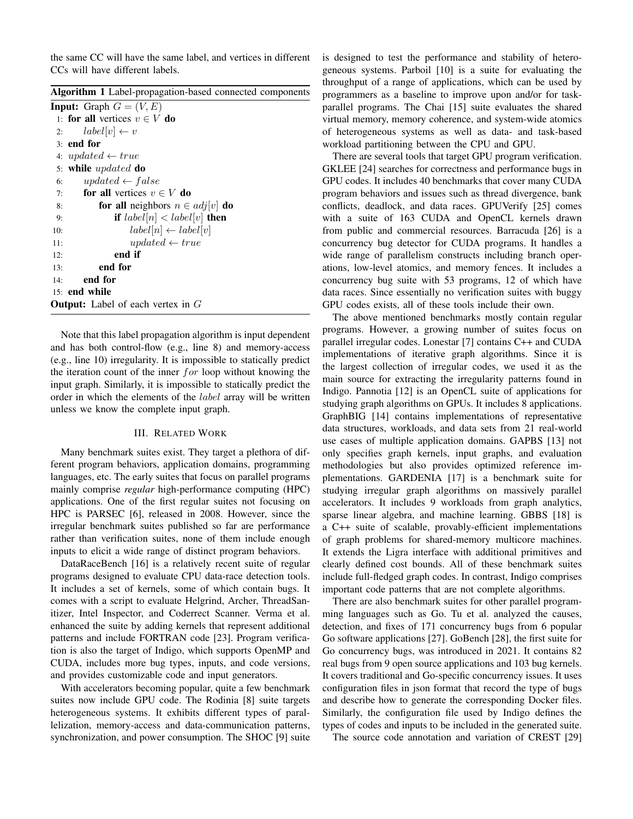the same CC will have the same label, and vertices in different CCs will have different labels.

|  | Algorithm 1 Label-propagation-based connected components |  |  |
|--|----------------------------------------------------------|--|--|
|--|----------------------------------------------------------|--|--|

|     | <b>Input:</b> Graph $G = (V, E)$            |
|-----|---------------------------------------------|
|     | 1: for all vertices $v \in V$ do            |
| 2:  | $label[v] \leftarrow v$                     |
|     | $3:$ end for                                |
|     | 4: updated $\leftarrow true$                |
|     | 5: while updated do                         |
| 6:  | updated $\leftarrow$ false                  |
| 7:  | <b>for all</b> vertices $v \in V$ <b>do</b> |
| 8:  | for all neighbors $n \in adj[v]$ do         |
| 9:  | <b>if</b> $label[n] label[v] then$          |
| 10: | $label[n] \leftarrow label[v]$              |
| 11: | updated $\leftarrow true$                   |
| 12: | end if                                      |
| 13: | end for                                     |
| 14: | end for                                     |
|     | $15:$ end while                             |
|     | <b>Output:</b> Label of each vertex in $G$  |

Note that this label propagation algorithm is input dependent and has both control-flow (e.g., line 8) and memory-access (e.g., line 10) irregularity. It is impossible to statically predict the iteration count of the inner  $for$  loop without knowing the input graph. Similarly, it is impossible to statically predict the order in which the elements of the label array will be written unless we know the complete input graph.

#### III. RELATED WORK

Many benchmark suites exist. They target a plethora of different program behaviors, application domains, programming languages, etc. The early suites that focus on parallel programs mainly comprise *regular* high-performance computing (HPC) applications. One of the first regular suites not focusing on HPC is PARSEC [6], released in 2008. However, since the irregular benchmark suites published so far are performance rather than verification suites, none of them include enough inputs to elicit a wide range of distinct program behaviors.

DataRaceBench [16] is a relatively recent suite of regular programs designed to evaluate CPU data-race detection tools. It includes a set of kernels, some of which contain bugs. It comes with a script to evaluate Helgrind, Archer, ThreadSanitizer, Intel Inspector, and Coderrect Scanner. Verma et al. enhanced the suite by adding kernels that represent additional patterns and include FORTRAN code [23]. Program verification is also the target of Indigo, which supports OpenMP and CUDA, includes more bug types, inputs, and code versions, and provides customizable code and input generators.

With accelerators becoming popular, quite a few benchmark suites now include GPU code. The Rodinia [8] suite targets heterogeneous systems. It exhibits different types of parallelization, memory-access and data-communication patterns, synchronization, and power consumption. The SHOC [9] suite is designed to test the performance and stability of heterogeneous systems. Parboil [10] is a suite for evaluating the throughput of a range of applications, which can be used by programmers as a baseline to improve upon and/or for taskparallel programs. The Chai [15] suite evaluates the shared virtual memory, memory coherence, and system-wide atomics of heterogeneous systems as well as data- and task-based workload partitioning between the CPU and GPU.

There are several tools that target GPU program verification. GKLEE [24] searches for correctness and performance bugs in GPU codes. It includes 40 benchmarks that cover many CUDA program behaviors and issues such as thread divergence, bank conflicts, deadlock, and data races. GPUVerify [25] comes with a suite of 163 CUDA and OpenCL kernels drawn from public and commercial resources. Barracuda [26] is a concurrency bug detector for CUDA programs. It handles a wide range of parallelism constructs including branch operations, low-level atomics, and memory fences. It includes a concurrency bug suite with 53 programs, 12 of which have data races. Since essentially no verification suites with buggy GPU codes exists, all of these tools include their own.

The above mentioned benchmarks mostly contain regular programs. However, a growing number of suites focus on parallel irregular codes. Lonestar [7] contains C++ and CUDA implementations of iterative graph algorithms. Since it is the largest collection of irregular codes, we used it as the main source for extracting the irregularity patterns found in Indigo. Pannotia [12] is an OpenCL suite of applications for studying graph algorithms on GPUs. It includes 8 applications. GraphBIG [14] contains implementations of representative data structures, workloads, and data sets from 21 real-world use cases of multiple application domains. GAPBS [13] not only specifies graph kernels, input graphs, and evaluation methodologies but also provides optimized reference implementations. GARDENIA [17] is a benchmark suite for studying irregular graph algorithms on massively parallel accelerators. It includes 9 workloads from graph analytics, sparse linear algebra, and machine learning. GBBS [18] is a C++ suite of scalable, provably-efficient implementations of graph problems for shared-memory multicore machines. It extends the Ligra interface with additional primitives and clearly defined cost bounds. All of these benchmark suites include full-fledged graph codes. In contrast, Indigo comprises important code patterns that are not complete algorithms.

There are also benchmark suites for other parallel programming languages such as Go. Tu et al. analyzed the causes, detection, and fixes of 171 concurrency bugs from 6 popular Go software applications [27]. GoBench [28], the first suite for Go concurrency bugs, was introduced in 2021. It contains 82 real bugs from 9 open source applications and 103 bug kernels. It covers traditional and Go-specific concurrency issues. It uses configuration files in json format that record the type of bugs and describe how to generate the corresponding Docker files. Similarly, the configuration file used by Indigo defines the types of codes and inputs to be included in the generated suite.

The source code annotation and variation of CREST [29]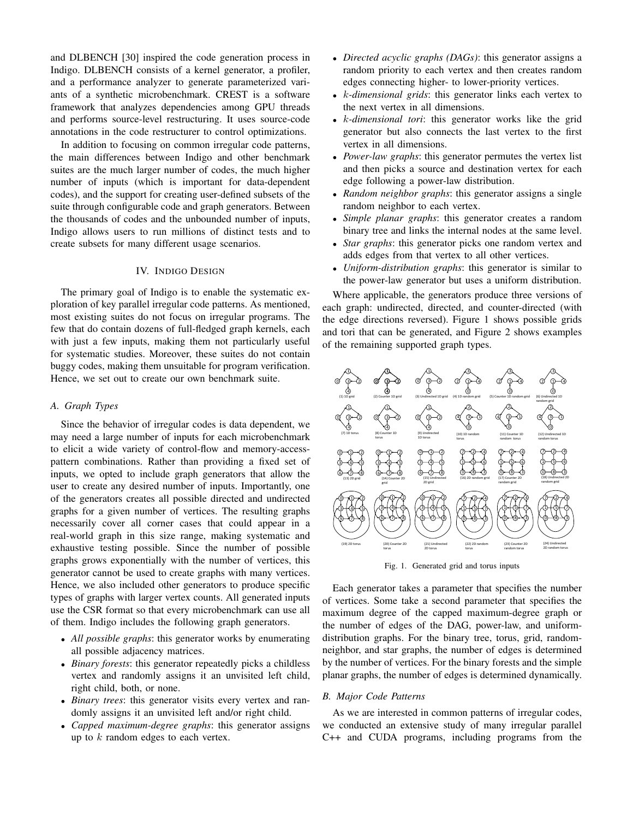and DLBENCH [30] inspired the code generation process in Indigo. DLBENCH consists of a kernel generator, a profiler, and a performance analyzer to generate parameterized variants of a synthetic microbenchmark. CREST is a software framework that analyzes dependencies among GPU threads and performs source-level restructuring. It uses source-code annotations in the code restructurer to control optimizations.

In addition to focusing on common irregular code patterns, the main differences between Indigo and other benchmark suites are the much larger number of codes, the much higher number of inputs (which is important for data-dependent codes), and the support for creating user-defined subsets of the suite through configurable code and graph generators. Between the thousands of codes and the unbounded number of inputs, Indigo allows users to run millions of distinct tests and to create subsets for many different usage scenarios.

## IV. INDIGO DESIGN

The primary goal of Indigo is to enable the systematic exploration of key parallel irregular code patterns. As mentioned, most existing suites do not focus on irregular programs. The few that do contain dozens of full-fledged graph kernels, each with just a few inputs, making them not particularly useful for systematic studies. Moreover, these suites do not contain buggy codes, making them unsuitable for program verification. Hence, we set out to create our own benchmark suite.

## *A. Graph Types*

Since the behavior of irregular codes is data dependent, we may need a large number of inputs for each microbenchmark to elicit a wide variety of control-flow and memory-accesspattern combinations. Rather than providing a fixed set of inputs, we opted to include graph generators that allow the user to create any desired number of inputs. Importantly, one of the generators creates all possible directed and undirected graphs for a given number of vertices. The resulting graphs necessarily cover all corner cases that could appear in a real-world graph in this size range, making systematic and exhaustive testing possible. Since the number of possible graphs grows exponentially with the number of vertices, this generator cannot be used to create graphs with many vertices. Hence, we also included other generators to produce specific types of graphs with larger vertex counts. All generated inputs use the CSR format so that every microbenchmark can use all of them. Indigo includes the following graph generators.

- *All possible graphs*: this generator works by enumerating all possible adjacency matrices.
- *Binary forests*: this generator repeatedly picks a childless vertex and randomly assigns it an unvisited left child, right child, both, or none.
- *Binary trees*: this generator visits every vertex and randomly assigns it an unvisited left and/or right child.
- *Capped maximum-degree graphs*: this generator assigns up to  $k$  random edges to each vertex.
- *Directed acyclic graphs (DAGs)*: this generator assigns a random priority to each vertex and then creates random edges connecting higher- to lower-priority vertices.
- k*-dimensional grids*: this generator links each vertex to the next vertex in all dimensions.
- k*-dimensional tori*: this generator works like the grid generator but also connects the last vertex to the first vertex in all dimensions.
- *Power-law graphs*: this generator permutes the vertex list and then picks a source and destination vertex for each edge following a power-law distribution.
- *Random neighbor graphs*: this generator assigns a single random neighbor to each vertex.
- *Simple planar graphs*: this generator creates a random binary tree and links the internal nodes at the same level.
- *Star graphs*: this generator picks one random vertex and adds edges from that vertex to all other vertices.
- *Uniform-distribution graphs*: this generator is similar to the power-law generator but uses a uniform distribution.

Where applicable, the generators produce three versions of each graph: undirected, directed, and counter-directed (with the edge directions reversed). Figure 1 shows possible grids and tori that can be generated, and Figure 2 shows examples of the remaining supported graph types.



Fig. 1. Generated grid and torus inputs

Each generator takes a parameter that specifies the number of vertices. Some take a second parameter that specifies the maximum degree of the capped maximum-degree graph or the number of edges of the DAG, power-law, and uniformdistribution graphs. For the binary tree, torus, grid, randomneighbor, and star graphs, the number of edges is determined by the number of vertices. For the binary forests and the simple planar graphs, the number of edges is determined dynamically.

#### *B. Major Code Patterns*

As we are interested in common patterns of irregular codes, we conducted an extensive study of many irregular parallel C++ and CUDA programs, including programs from the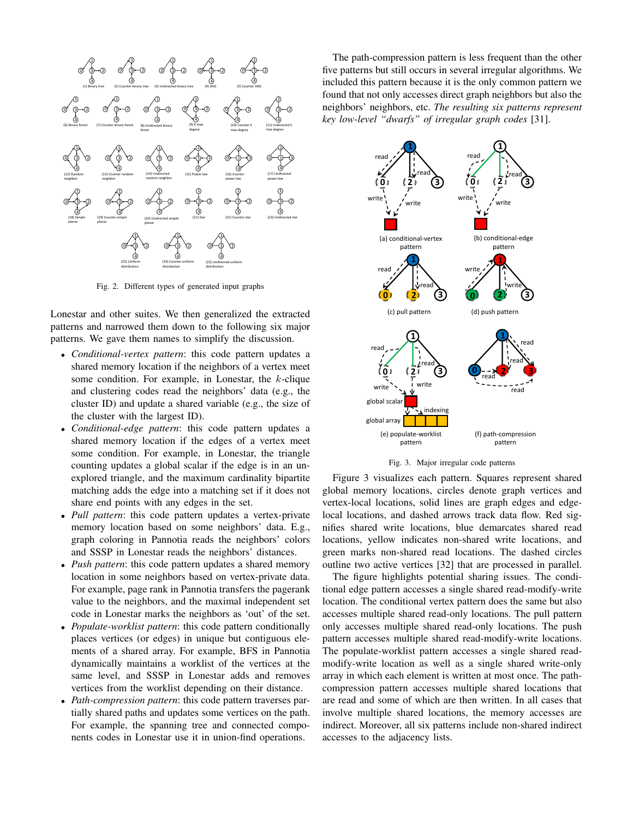

Fig. 2. Different types of generated input graphs

Lonestar and other suites. We then generalized the extracted patterns and narrowed them down to the following six major patterns. We gave them names to simplify the discussion.

- *Conditional-vertex pattern*: this code pattern updates a shared memory location if the neighbors of a vertex meet some condition. For example, in Lonestar, the  $k$ -clique and clustering codes read the neighbors' data (e.g., the cluster ID) and update a shared variable (e.g., the size of the cluster with the largest ID).
- *Conditional-edge pattern*: this code pattern updates a shared memory location if the edges of a vertex meet some condition. For example, in Lonestar, the triangle counting updates a global scalar if the edge is in an unexplored triangle, and the maximum cardinality bipartite matching adds the edge into a matching set if it does not share end points with any edges in the set.
- *Pull pattern*: this code pattern updates a vertex-private memory location based on some neighbors' data. E.g., graph coloring in Pannotia reads the neighbors' colors and SSSP in Lonestar reads the neighbors' distances.
- *Push pattern*: this code pattern updates a shared memory location in some neighbors based on vertex-private data. For example, page rank in Pannotia transfers the pagerank value to the neighbors, and the maximal independent set code in Lonestar marks the neighbors as 'out' of the set.
- *Populate-worklist pattern*: this code pattern conditionally places vertices (or edges) in unique but contiguous elements of a shared array. For example, BFS in Pannotia dynamically maintains a worklist of the vertices at the same level, and SSSP in Lonestar adds and removes vertices from the worklist depending on their distance.
- *Path-compression pattern*: this code pattern traverses partially shared paths and updates some vertices on the path. For example, the spanning tree and connected components codes in Lonestar use it in union-find operations.

The path-compression pattern is less frequent than the other five patterns but still occurs in several irregular algorithms. We included this pattern because it is the only common pattern we found that not only accesses direct graph neighbors but also the neighbors' neighbors, etc. *The resulting six patterns represent key low-level "dwarfs" of irregular graph codes* [31].



Fig. 3. Major irregular code patterns

Figure 3 visualizes each pattern. Squares represent shared global memory locations, circles denote graph vertices and vertex-local locations, solid lines are graph edges and edgelocal locations, and dashed arrows track data flow. Red signifies shared write locations, blue demarcates shared read locations, yellow indicates non-shared write locations, and green marks non-shared read locations. The dashed circles outline two active vertices [32] that are processed in parallel.

The figure highlights potential sharing issues. The conditional edge pattern accesses a single shared read-modify-write location. The conditional vertex pattern does the same but also accesses multiple shared read-only locations. The pull pattern only accesses multiple shared read-only locations. The push pattern accesses multiple shared read-modify-write locations. The populate-worklist pattern accesses a single shared readmodify-write location as well as a single shared write-only array in which each element is written at most once. The pathcompression pattern accesses multiple shared locations that are read and some of which are then written. In all cases that involve multiple shared locations, the memory accesses are indirect. Moreover, all six patterns include non-shared indirect accesses to the adjacency lists.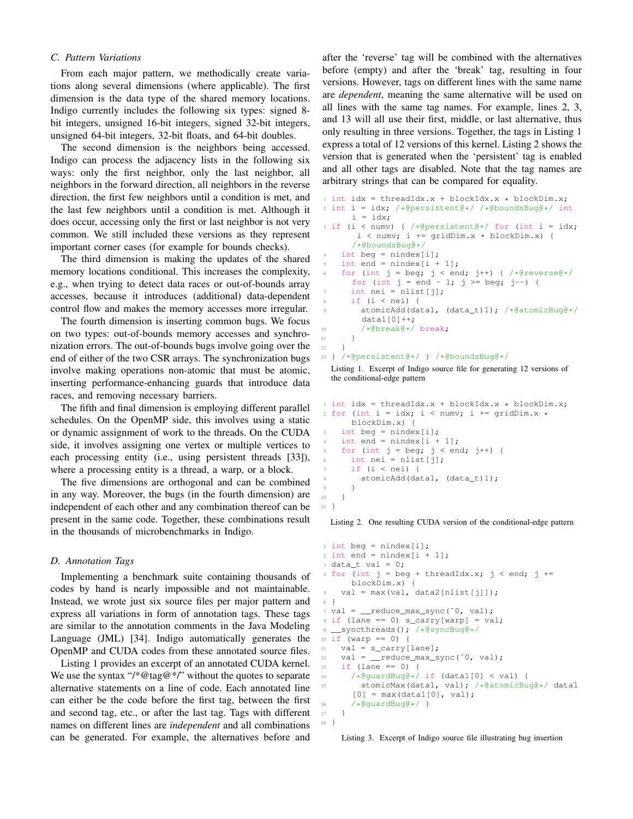## *C. Pattern Variations*

From each major pattern, we methodically create variations along several dimensions (where applicable). The first dimension is the data type of the shared memory locations. Indigo currently includes the following six types: signed 8 bit integers, unsigned 16-bit integers, signed 32-bit integers, unsigned 64-bit integers, 32-bit floats, and 64-bit doubles.

The second dimension is the neighbors being accessed. Indigo can process the adjacency lists in the following six ways: only the first neighbor, only the last neighbor, all neighbors in the forward direction, all neighbors in the reverse direction, the first few neighbors until a condition is met, and the last few neighbors until a condition is met. Although it does occur, accessing only the first or last neighbor is not very common. We still included these versions as they represent important corner cases (for example for bounds checks).

The third dimension is making the updates of the shared memory locations conditional. This increases the complexity, e.g., when trying to detect data races or out-of-bounds array accesses, because it introduces (additional) data-dependent control flow and makes the memory accesses more irregular.

The fourth dimension is inserting common bugs. We focus on two types: out-of-bounds memory accesses and synchronization errors. The out-of-bounds bugs involve going over the end of either of the two CSR arrays. The synchronization bugs involve making operations non-atomic that must be atomic, inserting performance-enhancing guards that introduce data races, and removing necessary barriers.

The fifth and final dimension is employing different parallel schedules. On the OpenMP side, this involves using a static or dynamic assignment of work to the threads. On the CUDA side, it involves assigning one vertex or multiple vertices to each processing entity (i.e., using persistent threads [33]), where a processing entity is a thread, a warp, or a block.

The five dimensions are orthogonal and can be combined in any way. Moreover, the bugs (in the fourth dimension) are independent of each other and any combination thereof can be present in the same code. Together, these combinations result in the thousands of microbenchmarks in Indigo.

#### *D. Annotation Tags*

Implementing a benchmark suite containing thousands of codes by hand is nearly impossible and not maintainable. Instead, we wrote just six source files per major pattern and express all variations in form of annotation tags. These tags are similar to the annotation comments in the Java Modeling Language (JML) [34]. Indigo automatically generates the OpenMP and CUDA codes from these annotated source files.

Listing 1 provides an excerpt of an annotated CUDA kernel. We use the syntax "/\*@tag@\*/" without the quotes to separate alternative statements on a line of code. Each annotated line can either be the code before the first tag, between the first and second tag, etc., or after the last tag. Tags with different names on different lines are *independent* and all combinations can be generated. For example, the alternatives before and

after the 'reverse' tag will be combined with the alternatives before (empty) and after the 'break' tag, resulting in four versions. However, tags on different lines with the same name are *dependent*, meaning the same alternative will be used on all lines with the same tag names. For example, lines 2, 3, and 13 will all use their first, middle, or last alternative, thus only resulting in three versions. Together, the tags in Listing 1 express a total of 12 versions of this kernel. Listing 2 shows the version that is generated when the 'persistent' tag is enabled and all other tags are disabled. Note that the tag names are arbitrary strings that can be compared for equality.

```
1 int idx = threadIdx.x + blockIdx.x * blockDim.x;
2 int i = idx; /*@persistent@*/ /*@boundsBug@*/ int
      i = i dx;3 if (i < numv) { /*@persistent@*/ for (int i = idx;
       i \leq numv; i \neq qridDim.x \star blockDim.x) {
      /*@boundsBug@*/
    int beg = nindex[i];
    int end = nindex[i + 1];
6 for (int j = \text{beg}; j < \text{end}; j++) { /*@reverse@*/for (int j = end - 1; j > = beg; j - j {
      int nei = nlist[j];
      if (i < nei) {
        9 atomicAdd(data1, (data_t)1); /*@atomicBug@*/
        data1[0]+;
10 /*@break@*/ break;
11   }
12 }
13 } /*@persistent@*/ } /*@boundsBug@*/
```
Listing 1. Excerpt of Indigo source file for generating 12 versions of the conditional-edge pattern

```
1 int idx = threadIdx.x + blockIdx.x * blockDim.x;
2 for (int i = idx; i < numv; i += gridDim.x *
      blockDim.x) {
3 int beg = nindex[i];
    int end = nindex[i + 1];for (int j = \text{beg}; j < \text{end}; j++) {
      6 int nei = nlist[j];
      if (i < nei) {
        atomicAdd(data1, (data_t)1);
9 }
10 }
11 }
```
Listing 2. One resulting CUDA version of the conditional-edge pattern

```
int \ beq = nindex[i];2 int end = nindex[i + 1];
3 data_t val = 0;
4 for (int j = \text{beg } + \text{threadIdx.x}; j \leq \text{end}; j +=blockDim.x) {
5 val = max(val, data2[nlist[j]]);
6 }
\tau val = \text{__reduce\_max\_sync}(~0, val);
s if (lane == 0) s_carry[warp] = val;
9 __syncthreads(); /*@syncBug@*/
10 if (warp == 0) {
11 val = s_carry[lane];
12 val = _reduce_max_sync(~0, val);
13 if (lane == 0) {
14 /*@guardBug@*/ if (data1[0] < val) {
15 atomicMax(data1, val); /*@atomicBug@*/ data1
      [0] = max(data1[0], val);
16 /*@quardBug@*/ }
17 }
18 }
```
Listing 3. Excerpt of Indigo source file illustrating bug insertion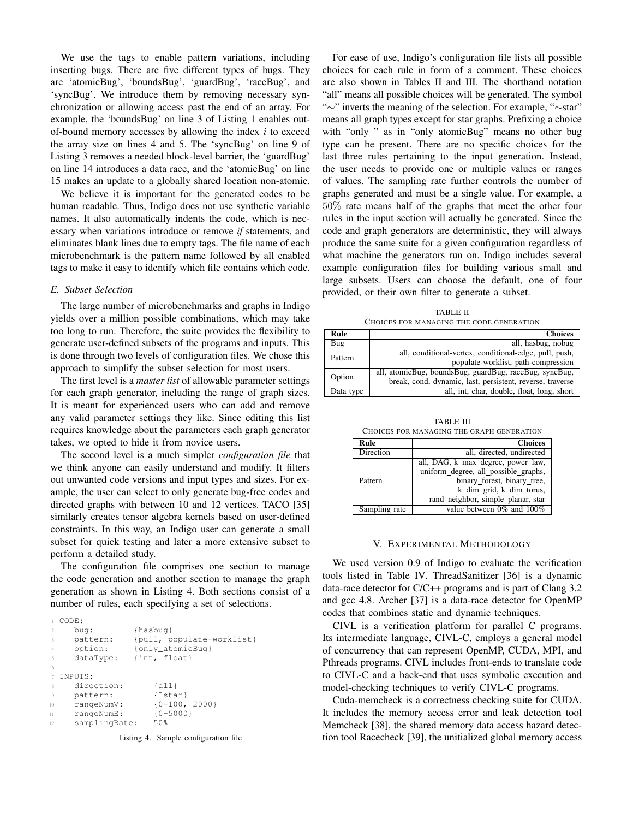We use the tags to enable pattern variations, including inserting bugs. There are five different types of bugs. They are 'atomicBug', 'boundsBug', 'guardBug', 'raceBug', and 'syncBug'. We introduce them by removing necessary synchronization or allowing access past the end of an array. For example, the 'boundsBug' on line 3 of Listing 1 enables outof-bound memory accesses by allowing the index  $i$  to exceed the array size on lines 4 and 5. The 'syncBug' on line 9 of Listing 3 removes a needed block-level barrier, the 'guardBug' on line 14 introduces a data race, and the 'atomicBug' on line 15 makes an update to a globally shared location non-atomic.

We believe it is important for the generated codes to be human readable. Thus, Indigo does not use synthetic variable names. It also automatically indents the code, which is necessary when variations introduce or remove *if* statements, and eliminates blank lines due to empty tags. The file name of each microbenchmark is the pattern name followed by all enabled tags to make it easy to identify which file contains which code.

## *E. Subset Selection*

The large number of microbenchmarks and graphs in Indigo yields over a million possible combinations, which may take too long to run. Therefore, the suite provides the flexibility to generate user-defined subsets of the programs and inputs. This is done through two levels of configuration files. We chose this approach to simplify the subset selection for most users.

The first level is a *master list* of allowable parameter settings for each graph generator, including the range of graph sizes. It is meant for experienced users who can add and remove any valid parameter settings they like. Since editing this list requires knowledge about the parameters each graph generator takes, we opted to hide it from novice users.

The second level is a much simpler *configuration file* that we think anyone can easily understand and modify. It filters out unwanted code versions and input types and sizes. For example, the user can select to only generate bug-free codes and directed graphs with between 10 and 12 vertices. TACO [35] similarly creates tensor algebra kernels based on user-defined constraints. In this way, an Indigo user can generate a small subset for quick testing and later a more extensive subset to perform a detailed study.

The configuration file comprises one section to manage the code generation and another section to manage the graph generation as shown in Listing 4. Both sections consist of a number of rules, each specifying a set of selections.

|                | CODE:         |                           |
|----------------|---------------|---------------------------|
| $\mathfrak{D}$ | bua:          | $\{hasbuq\}$              |
| 3              | pattern:      | {pull, populate-worklist} |
| $\overline{4}$ | option:       | {only atomicBug}          |
| 5              | dataType:     | $\{int, float\}$          |
| 6              |               |                           |
|                | TNPUTS:       |                           |
| 8              | direction:    | $\{all\}$                 |
| 9              | pattern:      | { star }                  |
| 10             | rangeNumV:    | ${0-100, 2000}$           |
| 11             | rangeNumE:    | ${0 - 5000}$              |
| 12             | samplingRate: | 50%                       |
|                |               |                           |

Listing 4. Sample configuration file

For ease of use, Indigo's configuration file lists all possible choices for each rule in form of a comment. These choices are also shown in Tables II and III. The shorthand notation "all" means all possible choices will be generated. The symbol "∼" inverts the meaning of the selection. For example, "∼star" means all graph types except for star graphs. Prefixing a choice with "only\_" as in "only\_atomicBug" means no other bug type can be present. There are no specific choices for the last three rules pertaining to the input generation. Instead, the user needs to provide one or multiple values or ranges of values. The sampling rate further controls the number of graphs generated and must be a single value. For example, a 50% rate means half of the graphs that meet the other four rules in the input section will actually be generated. Since the code and graph generators are deterministic, they will always produce the same suite for a given configuration regardless of what machine the generators run on. Indigo includes several example configuration files for building various small and large subsets. Users can choose the default, one of four provided, or their own filter to generate a subset.

TABLE II CHOICES FOR MANAGING THE CODE GENERATION

| Rule      | <b>Choices</b>                                                                                |
|-----------|-----------------------------------------------------------------------------------------------|
| Bug       | all, hasbug, nobug                                                                            |
| Pattern   | all, conditional-vertex, conditional-edge, pull, push,<br>populate-worklist, path-compression |
|           | all, atomicBug, boundsBug, guardBug, raceBug, syncBug,                                        |
| Option    | break, cond, dynamic, last, persistent, reverse, traverse                                     |
| Data type | all, int, char, double, float, long, short                                                    |

TABLE III CHOICES FOR MANAGING THE GRAPH GENERATION

| Rule          | <b>Choices</b>                       |
|---------------|--------------------------------------|
| Direction     | all, directed, undirected            |
|               | all, DAG, k_max_degree, power_law,   |
|               | uniform_degree, all_possible_graphs, |
| Pattern       | binary_forest, binary_tree,          |
|               | k_dim_grid, k_dim_torus,             |
|               | rand_neighbor, simple_planar, star   |
| Sampling rate | value between $0\%$ and $100\%$      |

## V. EXPERIMENTAL METHODOLOGY

We used version 0.9 of Indigo to evaluate the verification tools listed in Table IV. ThreadSanitizer [36] is a dynamic data-race detector for C/C++ programs and is part of Clang 3.2 and gcc 4.8. Archer [37] is a data-race detector for OpenMP codes that combines static and dynamic techniques.

CIVL is a verification platform for parallel C programs. Its intermediate language, CIVL-C, employs a general model of concurrency that can represent OpenMP, CUDA, MPI, and Pthreads programs. CIVL includes front-ends to translate code to CIVL-C and a back-end that uses symbolic execution and model-checking techniques to verify CIVL-C programs.

Cuda-memcheck is a correctness checking suite for CUDA. It includes the memory access error and leak detection tool Memcheck [38], the shared memory data access hazard detection tool Racecheck [39], the unitialized global memory access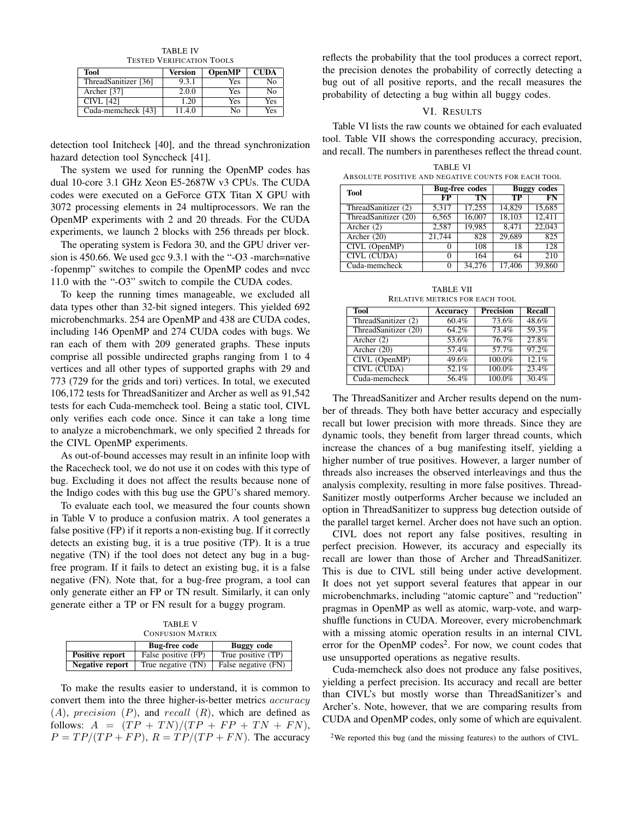TABLE IV TESTED VERIFICATION TOOLS

| Tool                 | Version | <b>OpenMP</b> | <b>CUDA</b> |
|----------------------|---------|---------------|-------------|
| ThreadSanitizer [36] | 9.3.1   | <b>Yes</b>    | Nο          |
| Archer [37]          | 2.0.0   | Yes           | Nο          |
| CIVL [42]            | 1.20    | Yes           | Yes         |
| Cuda-memcheck [43]   | 11.4.0  | No            | Yes         |

detection tool Initcheck [40], and the thread synchronization hazard detection tool Synccheck [41].

The system we used for running the OpenMP codes has dual 10-core 3.1 GHz Xeon E5-2687W v3 CPUs. The CUDA codes were executed on a GeForce GTX Titan X GPU with 3072 processing elements in 24 multiprocessors. We ran the OpenMP experiments with 2 and 20 threads. For the CUDA experiments, we launch 2 blocks with 256 threads per block.

The operating system is Fedora 30, and the GPU driver version is 450.66. We used gcc 9.3.1 with the "-O3 -march=native -fopenmp" switches to compile the OpenMP codes and nvcc 11.0 with the "-O3" switch to compile the CUDA codes.

To keep the running times manageable, we excluded all data types other than 32-bit signed integers. This yielded 692 microbenchmarks. 254 are OpenMP and 438 are CUDA codes, including 146 OpenMP and 274 CUDA codes with bugs. We ran each of them with 209 generated graphs. These inputs comprise all possible undirected graphs ranging from 1 to 4 vertices and all other types of supported graphs with 29 and 773 (729 for the grids and tori) vertices. In total, we executed 106,172 tests for ThreadSanitizer and Archer as well as 91,542 tests for each Cuda-memcheck tool. Being a static tool, CIVL only verifies each code once. Since it can take a long time to analyze a microbenchmark, we only specified 2 threads for the CIVL OpenMP experiments.

As out-of-bound accesses may result in an infinite loop with the Racecheck tool, we do not use it on codes with this type of bug. Excluding it does not affect the results because none of the Indigo codes with this bug use the GPU's shared memory.

To evaluate each tool, we measured the four counts shown in Table V to produce a confusion matrix. A tool generates a false positive (FP) if it reports a non-existing bug. If it correctly detects an existing bug, it is a true positive (TP). It is a true negative (TN) if the tool does not detect any bug in a bugfree program. If it fails to detect an existing bug, it is a false negative (FN). Note that, for a bug-free program, a tool can only generate either an FP or TN result. Similarly, it can only generate either a TP or FN result for a buggy program.

TABLE V CONFUSION MATRIX

|                        | <b>Bug-free code</b> | Buggy code                      |
|------------------------|----------------------|---------------------------------|
| Positive report        | False positive (FP)  | True positive $\overline{(TP)}$ |
| <b>Negative report</b> | True negative (TN)   | False negative (FN)             |

To make the results easier to understand, it is common to convert them into the three higher-is-better metrics *accuracy*  $(A)$ , precision  $(P)$ , and recall  $(R)$ , which are defined as follows:  $A = (TP + TN)/(TP + FP + TN + FN),$  $P = TP/(TP + FP)$ ,  $R = TP/(TP + FN)$ . The accuracy reflects the probability that the tool produces a correct report, the precision denotes the probability of correctly detecting a bug out of all positive reports, and the recall measures the probability of detecting a bug within all buggy codes.

#### VI. RESULTS

Table VI lists the raw counts we obtained for each evaluated tool. Table VII shows the corresponding accuracy, precision, and recall. The numbers in parentheses reflect the thread count.

| ABSOLUTE POSITIVE AND NEGATIVE COUNTS FOR EACH TOOL |                   |                       |                    |        |
|-----------------------------------------------------|-------------------|-----------------------|--------------------|--------|
| <b>Tool</b>                                         |                   | <b>Bug-free codes</b> | <b>Buggy</b> codes |        |
|                                                     | FP                | TN                    | TP                 | FN     |
| ThreadSanitizer (2)                                 | 5,317             | 17,255                | 14.829             | 15,685 |
| ThreadSanitizer (20)                                | 6,565             | 16,007                | 18,103             | 12.411 |
| $\overline{\text{Archer}}(2)$                       | 2,587             | 19,985                | 8.471              | 22,043 |
| Archer $(20)$                                       | 21,744            | 828                   | 29,689             | 825    |
| CIVL (OpenMP)                                       | $\mathbf{\Omega}$ | 108                   | 18                 | 128    |
| <b>CIVL (CUDA)</b>                                  | 0                 | 164                   | 64                 | 210    |
| Cuda-memcheck                                       |                   | 34.276                | 17.406             | 39,860 |

TABLE VI ABSOLUTE POSITIVE AND NEGATIVE COUNTS FOR EACH TOOL

TABLE VII RELATIVE METRICS FOR EACH TOOL

| Tool                 | Accuracy | <b>Precision</b> | Recall |
|----------------------|----------|------------------|--------|
| ThreadSanitizer (2)  | 60.4%    | 73.6%            | 48.6%  |
| ThreadSanitizer (20) | 64.2%    | 73.4%            | 59.3%  |
| Archer $(2)$         | $53.6\%$ | 76.7%            | 27.8%  |
| Archer $(20)$        | 57.4%    | 57.7%            | 97.2%  |
| CIVL (OpenMP)        | 49.6%    | 100.0%           | 12.1%  |
| CIVL (CUDA)          | 52.1%    | 100.0%           | 23.4%  |
| Cuda-memcheck        | 56.4%    | $100.0\%$        | 30.4%  |

The ThreadSanitizer and Archer results depend on the number of threads. They both have better accuracy and especially recall but lower precision with more threads. Since they are dynamic tools, they benefit from larger thread counts, which increase the chances of a bug manifesting itself, yielding a higher number of true positives. However, a larger number of threads also increases the observed interleavings and thus the analysis complexity, resulting in more false positives. Thread-Sanitizer mostly outperforms Archer because we included an option in ThreadSanitizer to suppress bug detection outside of the parallel target kernel. Archer does not have such an option.

CIVL does not report any false positives, resulting in perfect precision. However, its accuracy and especially its recall are lower than those of Archer and ThreadSanitizer. This is due to CIVL still being under active development. It does not yet support several features that appear in our microbenchmarks, including "atomic capture" and "reduction" pragmas in OpenMP as well as atomic, warp-vote, and warpshuffle functions in CUDA. Moreover, every microbenchmark with a missing atomic operation results in an internal CIVL error for the OpenMP codes<sup>2</sup>. For now, we count codes that use unsupported operations as negative results.

Cuda-memcheck also does not produce any false positives, yielding a perfect precision. Its accuracy and recall are better than CIVL's but mostly worse than ThreadSanitizer's and Archer's. Note, however, that we are comparing results from CUDA and OpenMP codes, only some of which are equivalent.

<sup>2</sup>We reported this bug (and the missing features) to the authors of CIVL.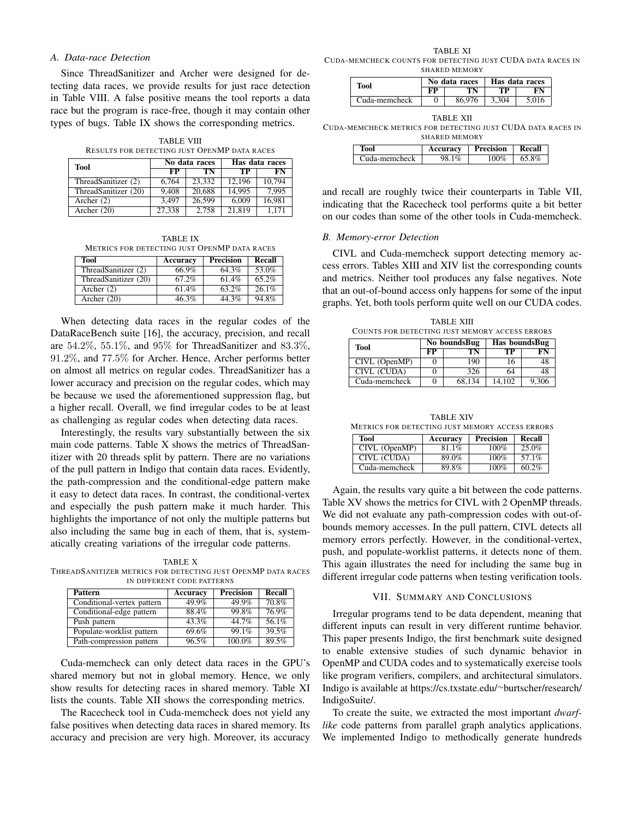## *A. Data-race Detection*

Since ThreadSanitizer and Archer were designed for detecting data races, we provide results for just race detection in Table VIII. A false positive means the tool reports a data race but the program is race-free, though it may contain other types of bugs. Table IX shows the corresponding metrics.

TABLE VIII RESULTS FOR DETECTING JUST OPENMP DATA RACES

| <b>Tool</b>          |             | No data races | Has data races |        |
|----------------------|-------------|---------------|----------------|--------|
|                      | $_{\rm FP}$ | TN            | TP             | FN     |
| ThreadSanitizer (2)  | 6.764       | 23.332        | 12.196         | 10.794 |
| ThreadSanitizer (20) | 9.408       | 20.688        | 14.995         | 7.995  |
| Archer $(2)$         | 3.497       | 26.599        | 6.009          | 16.981 |
| Archer $(20)$        | 27,338      | 2.758         | 21,819         | 1.171  |

TABLE IX METRICS FOR DETECTING JUST OPENMP DATA RACES

| Tool                 | Accuracy | Precision | Recall |
|----------------------|----------|-----------|--------|
| ThreadSanitizer (2)  | 66.9%    | 64.3%     | 53.0%  |
| ThreadSanitizer (20) | 67.2%    | 61.4%     | 65.2%  |
| Archer $(2)$         | 61.4%    | 63.2%     | 26.1%  |
| Archer (20)          | 46.3%    | 44.3%     | 94.8%  |

When detecting data races in the regular codes of the DataRaceBench suite [16], the accuracy, precision, and recall are 54.2%, 55.1%, and 95% for ThreadSanitizer and 83.3%, 91.2%, and 77.5% for Archer. Hence, Archer performs better on almost all metrics on regular codes. ThreadSanitizer has a lower accuracy and precision on the regular codes, which may be because we used the aforementioned suppression flag, but a higher recall. Overall, we find irregular codes to be at least as challenging as regular codes when detecting data races.

Interestingly, the results vary substantially between the six main code patterns. Table X shows the metrics of ThreadSanitizer with 20 threads split by pattern. There are no variations of the pull pattern in Indigo that contain data races. Evidently, the path-compression and the conditional-edge pattern make it easy to detect data races. In contrast, the conditional-vertex and especially the push pattern make it much harder. This highlights the importance of not only the multiple patterns but also including the same bug in each of them, that is, systematically creating variations of the irregular code patterns.

TABLE X THREADSANITIZER METRICS FOR DETECTING JUST OPENMP DATA RACES IN DIFFERENT CODE PATTERNS

| Pattern                    | Accuracy | <b>Precision</b> | Recall |
|----------------------------|----------|------------------|--------|
| Conditional-vertex pattern | $49.9\%$ | $49.9\%$         | 70.8%  |
| Conditional-edge pattern   | 88.4%    | 99.8%            | 76.9%  |
| Push pattern               | $43.3\%$ | 44.7%            | 56.1%  |
| Populate-worklist pattern  | 69.6%    | 99.1%            | 39.5%  |
| Path-compression pattern   | 96.5%    | 100.0%           | 89.5%  |

Cuda-memcheck can only detect data races in the GPU's shared memory but not in global memory. Hence, we only show results for detecting races in shared memory. Table XI lists the counts. Table XII shows the corresponding metrics.

The Racecheck tool in Cuda-memcheck does not yield any false positives when detecting data races in shared memory. Its accuracy and precision are very high. Moreover, its accuracy

TABLE XI CUDA-MEMCHECK COUNTS FOR DETECTING JUST CUDA DATA RACES IN SHARED MEMORY

| Tool          | No data races |        | Has data races |       |
|---------------|---------------|--------|----------------|-------|
|               | eр            | ΓN     | тp             |       |
| Cuda-memcheck |               | 86.976 | 3.304          | 5.016 |

TABLE XII

CUDA-MEMCHECK METRICS FOR DETECTING JUST CUDA DATA RACES IN SHARED MEMORY

| Tool          | Accuracy | <b>Precision</b> | Recall |
|---------------|----------|------------------|--------|
| Cuda-memcheck | 98.1%    | 100%             | 65.8%  |

and recall are roughly twice their counterparts in Table VII, indicating that the Racecheck tool performs quite a bit better on our codes than some of the other tools in Cuda-memcheck.

## *B. Memory-error Detection*

CIVL and Cuda-memcheck support detecting memory access errors. Tables XIII and XIV list the corresponding counts and metrics. Neither tool produces any false negatives. Note that an out-of-bound access only happens for some of the input graphs. Yet, both tools perform quite well on our CUDA codes.

TABLE XIII COUNTS FOR DETECTING JUST MEMORY ACCESS ERRORS

| Tool               | No boundsBug |        | Has boundsBug |            |
|--------------------|--------------|--------|---------------|------------|
|                    | $\bf FP$     | TÑ     | TP            | ${\bf FN}$ |
| CIVL (OpenMP)      |              | 190    |               | 48         |
| <b>CIVL (CUDA)</b> |              | 326    | 64            | 48         |
| Cuda-memcheck      |              | 68.134 | 14.102        | 9.306      |

TABLE XIV METRICS FOR DETECTING JUST MEMORY ACCESS ERRORS

| Tool          | Accuracy | <b>Precision</b> | Recall |
|---------------|----------|------------------|--------|
| CIVL (OpenMP) | 81.1%    | 100%             | 25.0%  |
| CIVL (CUDA)   | 89.0%    | 100%             | 57.1%  |
| Cuda-memcheck | 89.8%    | 100%             | 60.2%  |

Again, the results vary quite a bit between the code patterns. Table XV shows the metrics for CIVL with 2 OpenMP threads. We did not evaluate any path-compression codes with out-ofbounds memory accesses. In the pull pattern, CIVL detects all memory errors perfectly. However, in the conditional-vertex, push, and populate-worklist patterns, it detects none of them. This again illustrates the need for including the same bug in different irregular code patterns when testing verification tools.

#### VII. SUMMARY AND CONCLUSIONS

Irregular programs tend to be data dependent, meaning that different inputs can result in very different runtime behavior. This paper presents Indigo, the first benchmark suite designed to enable extensive studies of such dynamic behavior in OpenMP and CUDA codes and to systematically exercise tools like program verifiers, compilers, and architectural simulators. Indigo is available at https://cs.txstate.edu/<sup>∼</sup>burtscher/research/ IndigoSuite/.

To create the suite, we extracted the most important *dwarflike* code patterns from parallel graph analytics applications. We implemented Indigo to methodically generate hundreds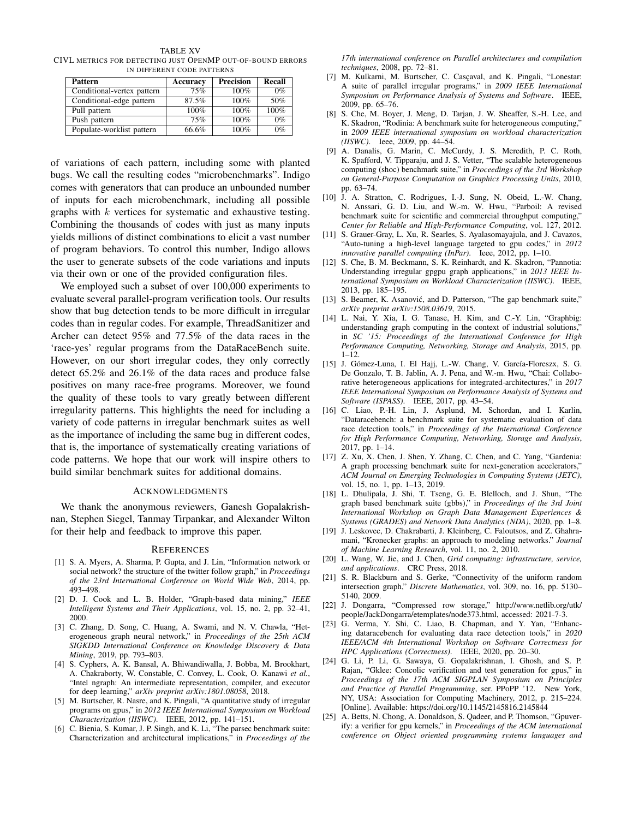TABLE XV CIVL METRICS FOR DETECTING JUST OPENMP OUT-OF-BOUND ERRORS IN DIFFERENT CODE PATTERNS

| Pattern                    | Accuracy | <b>Precision</b> | <b>Recall</b> |
|----------------------------|----------|------------------|---------------|
| Conditional-vertex pattern | 75%      | 100%             | $0\%$         |
| Conditional-edge pattern   | 87.5%    | 100%             | 50%           |
| Pull pattern               | 100%     | 100%             | 100%          |
| Push pattern               | 75%      | 100%             | $0\%$         |
| Populate-worklist pattern  | 66.6%    | 100%             | $0\%$         |

of variations of each pattern, including some with planted bugs. We call the resulting codes "microbenchmarks". Indigo comes with generators that can produce an unbounded number of inputs for each microbenchmark, including all possible graphs with  $k$  vertices for systematic and exhaustive testing. Combining the thousands of codes with just as many inputs yields millions of distinct combinations to elicit a vast number of program behaviors. To control this number, Indigo allows the user to generate subsets of the code variations and inputs via their own or one of the provided configuration files.

We employed such a subset of over 100,000 experiments to evaluate several parallel-program verification tools. Our results show that bug detection tends to be more difficult in irregular codes than in regular codes. For example, ThreadSanitizer and Archer can detect 95% and 77.5% of the data races in the 'race-yes' regular programs from the DataRaceBench suite. However, on our short irregular codes, they only correctly detect 65.2% and 26.1% of the data races and produce false positives on many race-free programs. Moreover, we found the quality of these tools to vary greatly between different irregularity patterns. This highlights the need for including a variety of code patterns in irregular benchmark suites as well as the importance of including the same bug in different codes, that is, the importance of systematically creating variations of code patterns. We hope that our work will inspire others to build similar benchmark suites for additional domains.

#### ACKNOWLEDGMENTS

We thank the anonymous reviewers, Ganesh Gopalakrishnan, Stephen Siegel, Tanmay Tirpankar, and Alexander Wilton for their help and feedback to improve this paper.

#### **REFERENCES**

- [1] S. A. Myers, A. Sharma, P. Gupta, and J. Lin, "Information network or social network? the structure of the twitter follow graph," in *Proceedings of the 23rd International Conference on World Wide Web*, 2014, pp. 493–498.
- [2] D. J. Cook and L. B. Holder, "Graph-based data mining," *IEEE Intelligent Systems and Their Applications*, vol. 15, no. 2, pp. 32–41, 2000.
- [3] C. Zhang, D. Song, C. Huang, A. Swami, and N. V. Chawla, "Heterogeneous graph neural network," in *Proceedings of the 25th ACM SIGKDD International Conference on Knowledge Discovery & Data Mining*, 2019, pp. 793–803.
- [4] S. Cyphers, A. K. Bansal, A. Bhiwandiwalla, J. Bobba, M. Brookhart, A. Chakraborty, W. Constable, C. Convey, L. Cook, O. Kanawi *et al.*, "Intel ngraph: An intermediate representation, compiler, and executor for deep learning," *arXiv preprint arXiv:1801.08058*, 2018.
- [5] M. Burtscher, R. Nasre, and K. Pingali, "A quantitative study of irregular programs on gpus," in *2012 IEEE International Symposium on Workload Characterization (IISWC)*. IEEE, 2012, pp. 141–151.
- [6] C. Bienia, S. Kumar, J. P. Singh, and K. Li, "The parsec benchmark suite: Characterization and architectural implications," in *Proceedings of the*

*17th international conference on Parallel architectures and compilation techniques*, 2008, pp. 72–81.

- [7] M. Kulkarni, M. Burtscher, C. Cascaval, and K. Pingali, "Lonestar: A suite of parallel irregular programs," in *2009 IEEE International Symposium on Performance Analysis of Systems and Software*. IEEE, 2009, pp. 65–76.
- [8] S. Che, M. Boyer, J. Meng, D. Tarjan, J. W. Sheaffer, S.-H. Lee, and K. Skadron, "Rodinia: A benchmark suite for heterogeneous computing," in *2009 IEEE international symposium on workload characterization (IISWC)*. Ieee, 2009, pp. 44–54.
- [9] A. Danalis, G. Marin, C. McCurdy, J. S. Meredith, P. C. Roth, K. Spafford, V. Tipparaju, and J. S. Vetter, "The scalable heterogeneous computing (shoc) benchmark suite," in *Proceedings of the 3rd Workshop on General-Purpose Computation on Graphics Processing Units*, 2010, pp. 63–74.
- [10] J. A. Stratton, C. Rodrigues, I.-J. Sung, N. Obeid, L.-W. Chang, N. Anssari, G. D. Liu, and W.-m. W. Hwu, "Parboil: A revised benchmark suite for scientific and commercial throughput computing," *Center for Reliable and High-Performance Computing*, vol. 127, 2012.
- [11] S. Grauer-Gray, L. Xu, R. Searles, S. Ayalasomayajula, and J. Cavazos, "Auto-tuning a high-level language targeted to gpu codes," in *2012 innovative parallel computing (InPar)*. Ieee, 2012, pp. 1–10.
- [12] S. Che, B. M. Beckmann, S. K. Reinhardt, and K. Skadron, "Pannotia: Understanding irregular gpgpu graph applications," in *2013 IEEE International Symposium on Workload Characterization (IISWC)*. IEEE, 2013, pp. 185–195.
- [13] S. Beamer, K. Asanović, and D. Patterson, "The gap benchmark suite," *arXiv preprint arXiv:1508.03619*, 2015.
- [14] L. Nai, Y. Xia, I. G. Tanase, H. Kim, and C.-Y. Lin, "Graphbig: understanding graph computing in the context of industrial solutions, in *SC '15: Proceedings of the International Conference for High Performance Computing, Networking, Storage and Analysis*, 2015, pp. 1–12.
- [15] J. Gómez-Luna, I. El Hajj, L.-W. Chang, V. García-Floreszx, S. G. De Gonzalo, T. B. Jablin, A. J. Pena, and W.-m. Hwu, "Chai: Collaborative heterogeneous applications for integrated-architectures," in *2017 IEEE International Symposium on Performance Analysis of Systems and Software (ISPASS)*. IEEE, 2017, pp. 43–54.
- [16] C. Liao, P.-H. Lin, J. Asplund, M. Schordan, and I. Karlin, "Dataracebench: a benchmark suite for systematic evaluation of data race detection tools," in *Proceedings of the International Conference for High Performance Computing, Networking, Storage and Analysis*, 2017, pp. 1–14.
- [17] Z. Xu, X. Chen, J. Shen, Y. Zhang, C. Chen, and C. Yang, "Gardenia: A graph processing benchmark suite for next-generation accelerators," *ACM Journal on Emerging Technologies in Computing Systems (JETC)*, vol. 15, no. 1, pp. 1–13, 2019.
- [18] L. Dhulipala, J. Shi, T. Tseng, G. E. Blelloch, and J. Shun, "The graph based benchmark suite (gbbs)," in *Proceedings of the 3rd Joint International Workshop on Graph Data Management Experiences & Systems (GRADES) and Network Data Analytics (NDA)*, 2020, pp. 1–8.
- [19] J. Leskovec, D. Chakrabarti, J. Kleinberg, C. Faloutsos, and Z. Ghahramani, "Kronecker graphs: an approach to modeling networks." *Journal of Machine Learning Research*, vol. 11, no. 2, 2010.
- [20] L. Wang, W. Jie, and J. Chen, *Grid computing: infrastructure, service, and applications*. CRC Press, 2018.
- [21] S. R. Blackburn and S. Gerke, "Connectivity of the uniform random intersection graph," *Discrete Mathematics*, vol. 309, no. 16, pp. 5130– 5140, 2009.
- [22] J. Dongarra, "Compressed row storage," http://www.netlib.org/utk/ people/JackDongarra/etemplates/node373.html, accessed: 2021-7-3.
- [23] G. Verma, Y. Shi, C. Liao, B. Chapman, and Y. Yan, "Enhancing dataracebench for evaluating data race detection tools," in *2020 IEEE/ACM 4th International Workshop on Software Correctness for HPC Applications (Correctness)*. IEEE, 2020, pp. 20–30.
- [24] G. Li, P. Li, G. Sawaya, G. Gopalakrishnan, I. Ghosh, and S. P. Rajan, "Gklee: Concolic verification and test generation for gpus," in *Proceedings of the 17th ACM SIGPLAN Symposium on Principles and Practice of Parallel Programming*, ser. PPoPP '12. New York, NY, USA: Association for Computing Machinery, 2012, p. 215–224. [Online]. Available: https://doi.org/10.1145/2145816.2145844
- [25] A. Betts, N. Chong, A. Donaldson, S. Qadeer, and P. Thomson, "Gpuverify: a verifier for gpu kernels," in *Proceedings of the ACM international conference on Object oriented programming systems languages and*